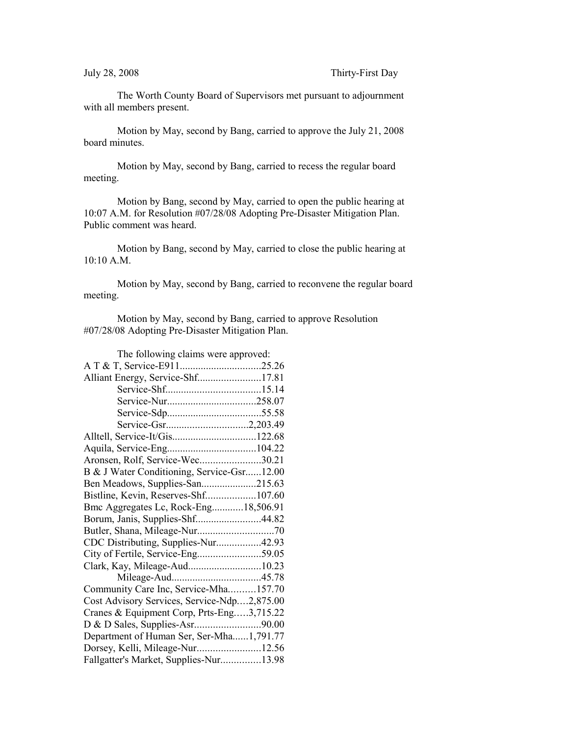The Worth County Board of Supervisors met pursuant to adjournment with all members present.

Motion by May, second by Bang, carried to approve the July 21, 2008 board minutes.

Motion by May, second by Bang, carried to recess the regular board meeting.

Motion by Bang, second by May, carried to open the public hearing at 10:07 A.M. for Resolution #07/28/08 Adopting Pre-Disaster Mitigation Plan. Public comment was heard.

Motion by Bang, second by May, carried to close the public hearing at 10:10 A.M.

Motion by May, second by Bang, carried to reconvene the regular board meeting.

Motion by May, second by Bang, carried to approve Resolution #07/28/08 Adopting Pre-Disaster Mitigation Plan.

| The following claims were approved:         |  |
|---------------------------------------------|--|
| A T & T, Service-E91125.26                  |  |
| Alliant Energy, Service-Shf17.81            |  |
|                                             |  |
|                                             |  |
|                                             |  |
|                                             |  |
|                                             |  |
|                                             |  |
| Aronsen, Rolf, Service-Wec30.21             |  |
| B & J Water Conditioning, Service-Gsr12.00  |  |
| Ben Meadows, Supplies-San215.63             |  |
| Bistline, Kevin, Reserves-Shf107.60         |  |
| Bmc Aggregates Lc, Rock-Eng18,506.91        |  |
| Borum, Janis, Supplies-Shf44.82             |  |
|                                             |  |
| CDC Distributing, Supplies-Nur42.93         |  |
| City of Fertile, Service-Eng59.05           |  |
| Clark, Kay, Mileage-Aud10.23                |  |
|                                             |  |
| Community Care Inc, Service-Mha157.70       |  |
| Cost Advisory Services, Service-Ndp2,875.00 |  |
| Cranes & Equipment Corp, Prts-Eng3,715.22   |  |
|                                             |  |
| Department of Human Ser, Ser-Mha1,791.77    |  |
| Dorsey, Kelli, Mileage-Nur12.56             |  |
| Fallgatter's Market, Supplies-Nur13.98      |  |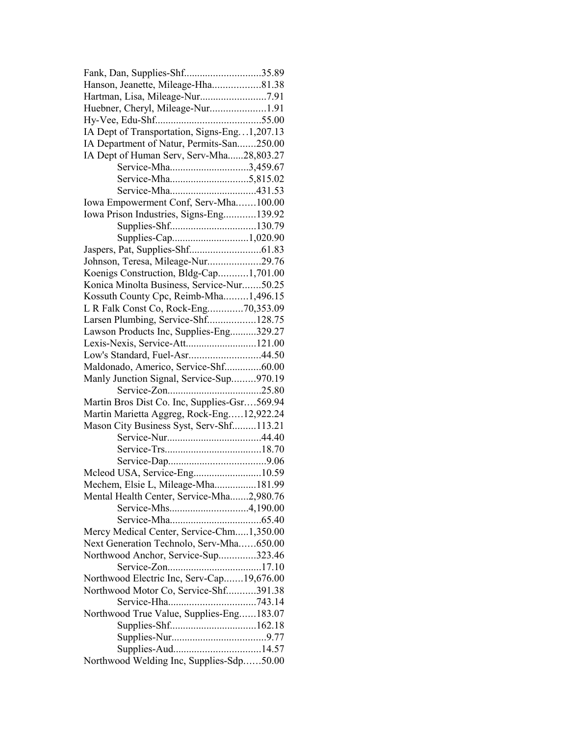| Fank, Dan, Supplies-Shf35.89                   |  |
|------------------------------------------------|--|
| Hanson, Jeanette, Mileage-Hha81.38             |  |
|                                                |  |
| Huebner, Cheryl, Mileage-Nur1.91               |  |
|                                                |  |
| IA Dept of Transportation, Signs-Eng. 1,207.13 |  |
| IA Department of Natur, Permits-San250.00      |  |
| IA Dept of Human Serv, Serv-Mha28,803.27       |  |
| Service-Mha3,459.67                            |  |
|                                                |  |
|                                                |  |
| Iowa Empowerment Conf, Serv-Mha100.00          |  |
| Iowa Prison Industries, Signs-Eng139.92        |  |
|                                                |  |
|                                                |  |
|                                                |  |
| Johnson, Teresa, Mileage-Nur29.76              |  |
| Koenigs Construction, Bldg-Cap1,701.00         |  |
| Konica Minolta Business, Service-Nur50.25      |  |
| Kossuth County Cpc, Reimb-Mha1,496.15          |  |
| L R Falk Const Co, Rock-Eng70,353.09           |  |
| Larsen Plumbing, Service-Shf128.75             |  |
| Lawson Products Inc, Supplies-Eng329.27        |  |
| Lexis-Nexis, Service-Att121.00                 |  |
| Low's Standard, Fuel-Asr44.50                  |  |
| Maldonado, Americo, Service-Shf60.00           |  |
|                                                |  |
|                                                |  |
| Manly Junction Signal, Service-Sup970.19       |  |
|                                                |  |
| Martin Bros Dist Co. Inc, Supplies-Gsr569.94   |  |
| Martin Marietta Aggreg, Rock-Eng12,922.24      |  |
| Mason City Business Syst, Serv-Shf113.21       |  |
|                                                |  |
|                                                |  |
|                                                |  |
|                                                |  |
| Mechem, Elsie L, Mileage-Mha181.99             |  |
| Mental Health Center, Service-Mha2,980.76      |  |
|                                                |  |
|                                                |  |
| Mercy Medical Center, Service-Chm1,350.00      |  |
| Next Generation Technolo, Serv-Mha650.00       |  |
| Northwood Anchor, Service-Sup323.46            |  |
|                                                |  |
| Northwood Electric Inc, Serv-Cap19,676.00      |  |
| Northwood Motor Co, Service-Shf391.38          |  |
| Northwood True Value, Supplies-Eng183.07       |  |
|                                                |  |
|                                                |  |
| Northwood Welding Inc, Supplies-Sdp50.00       |  |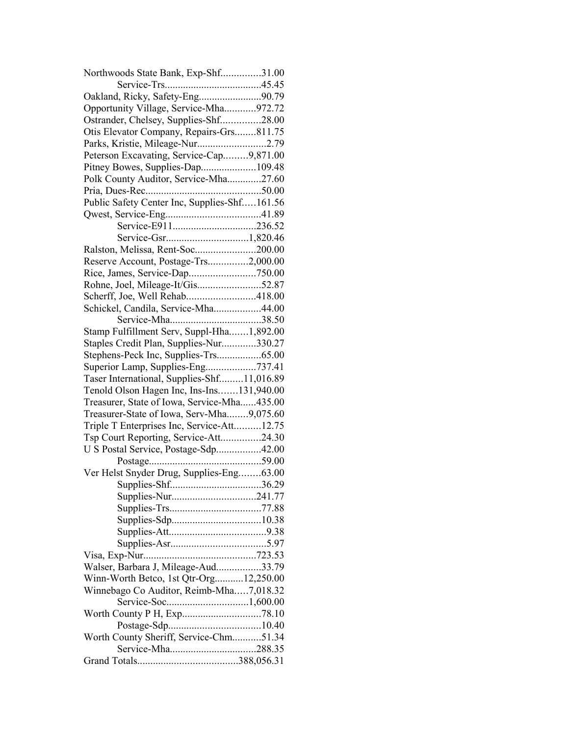| Northwoods State Bank, Exp-Shf31.00          |  |
|----------------------------------------------|--|
|                                              |  |
| Oakland, Ricky, Safety-Eng90.79              |  |
| Opportunity Village, Service-Mha972.72       |  |
| Ostrander, Chelsey, Supplies-Shf28.00        |  |
| Otis Elevator Company, Repairs-Grs811.75     |  |
| Parks, Kristie, Mileage-Nur2.79              |  |
| Peterson Excavating, Service-Cap9,871.00     |  |
| Pitney Bowes, Supplies-Dap109.48             |  |
| Polk County Auditor, Service-Mha27.60        |  |
|                                              |  |
| Public Safety Center Inc, Supplies-Shf161.56 |  |
|                                              |  |
|                                              |  |
|                                              |  |
| Ralston, Melissa, Rent-Soc200.00             |  |
| Reserve Account, Postage-Trs2,000.00         |  |
| Rice, James, Service-Dap750.00               |  |
| Rohne, Joel, Mileage-It/Gis52.87             |  |
| Scherff, Joe, Well Rehab418.00               |  |
|                                              |  |
| Schickel, Candila, Service-Mha44.00          |  |
|                                              |  |
| Stamp Fulfillment Serv, Suppl-Hha1,892.00    |  |
| Staples Credit Plan, Supplies-Nur330.27      |  |
|                                              |  |
| Superior Lamp, Supplies-Eng737.41            |  |
| Taser International, Supplies-Shf11,016.89   |  |
| Tenold Olson Hagen Inc, Ins-Ins131,940.00    |  |
| Treasurer, State of Iowa, Service-Mha435.00  |  |
| Treasurer-State of Iowa, Serv-Mha9,075.60    |  |
| Triple T Enterprises Inc, Service-Att12.75   |  |
| Tsp Court Reporting, Service-Att24.30        |  |
| U S Postal Service, Postage-Sdp42.00         |  |
|                                              |  |
| Ver Helst Snyder Drug, Supplies-Eng63.00     |  |
|                                              |  |
| Supplies-Nur241.77                           |  |
|                                              |  |
|                                              |  |
|                                              |  |
|                                              |  |
|                                              |  |
| Walser, Barbara J, Mileage-Aud33.79          |  |
| Winn-Worth Betco, 1st Qtr-Org12,250.00       |  |
| Winnebago Co Auditor, Reimb-Mha7,018.32      |  |
|                                              |  |
|                                              |  |
|                                              |  |
| Worth County Sheriff, Service-Chm51.34       |  |
|                                              |  |
|                                              |  |